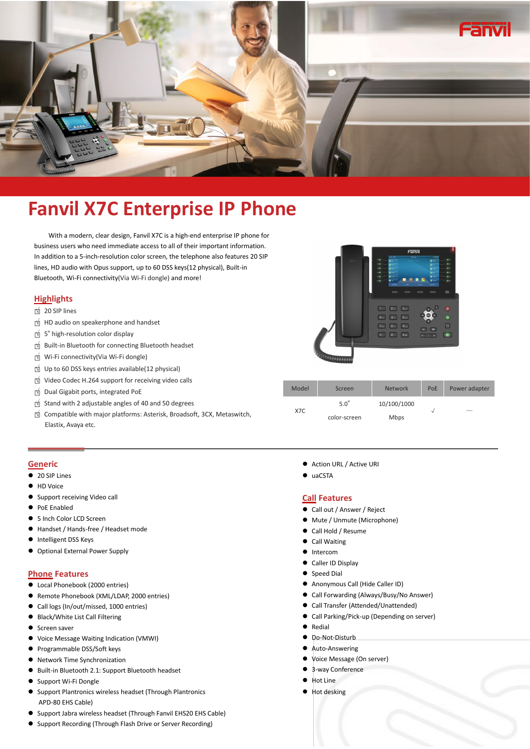

# **Fanvil X7C Enterprise IP Phone**

With a modern, clear design, Fanvil X7C is a high-end enterprise IP phone for business users who need immediate access to all of their important information. In addition to a 5-inch-resolution color screen, the telephone also features 20 SIP lines, HD audio with Opus support, up to 60 DSS keys(12 physical), Built-in Bluetooth, Wi-Fi connectivity(Via Wi-Fi dongle) and more!

# **Highlights**

- □<sup>√</sup> <sup>20</sup> SIP lines
- □<sup>√</sup> HD audio on speakerphone and handset
- □<sup>√</sup> <sup>5</sup>" high-resolution color display
- □<sup>√</sup> Built-in Bluetooth for connecting Bluetooth headset
- □<sup>√</sup> Wi-Fi connectivity(Via Wi-Fi dongle)
- □<sup>√</sup> Up to <sup>60</sup> DSS keys entries available(12 physical)
- □<sup>√</sup> Video Codec H.264 supportfor receiving video calls
- □<sup>√</sup> Dual Gigabit ports, integrated PoE
- □<sup>√</sup> Stand with <sup>2</sup> adjustable angles of <sup>40</sup> and <sup>50</sup> degrees
- □<sup>√</sup> Compatible with major platforms: Asterisk, Broadsoft, 3CX, Metaswitch,

| HD      | Fänvil<br>1912<br>$200 - 2000$<br><b>GEODIA</b><br>0.4000<br>$\bullet$<br><b>a-</b><br>$8 -$<br><b>Girona</b><br>÷<br><b>Given</b><br><b>Chain</b><br><b>Gian</b><br><b>Girlians</b><br>.,<br><b>Ginn</b><br>$\bullet$ terms<br>Ξ<br>œ<br>œ<br>$0 -$<br>n.<br><b>Rockel</b><br>$\sim$<br><b>House</b><br>Contact<br>PR |
|---------|------------------------------------------------------------------------------------------------------------------------------------------------------------------------------------------------------------------------------------------------------------------------------------------------------------------------|
| Ransmin | G<br>2 <sub>sc</sub><br>3w<br>$\blacksquare$<br>5 <sub>st</sub><br>6400<br>4 <sub>01</sub><br>$\circ$<br>7 <sub>cos</sub><br>9 <sub>cm</sub><br>$8 -$<br>$\boxed{\circ}$<br>$\overline{\alpha}$<br>#a<br>Ø.<br>٠<br>160<br>÷<br>u.                                                                                     |

| Video Codec H.264 support for receiving video calls                    |       |              |                |     |               |
|------------------------------------------------------------------------|-------|--------------|----------------|-----|---------------|
| Dual Gigabit ports, integrated PoE                                     | Model | Screen       | <b>Network</b> | PoE | Power adapter |
| Stand with 2 adjustable angles of 40 and 50 degrees                    | X7C   | $5.0^\circ$  | 10/100/1000    |     |               |
| Compatible with major platforms: Asterisk, Broadsoft, 3CX, Metaswitch, |       | color-screen | <b>Mbps</b>    |     |               |
| Elastix, Avaya etc.                                                    |       |              |                |     |               |

## **Generic**

- **20 SIP Lines**
- HD Voice
- Support receiving Video call
- **PoE Enabled**
- 5 Inch Color LCD Screen
- Handset / Hands-free / Headset mode
- **•** Intelligent DSS Keys
- Optional External Power Supply

### **Phone Features**

- Local Phonebook (2000 entries)
- Remote Phonebook (XML/LDAP, 2000 entries)
- Call logs (In/out/missed, 1000 entries)
- Black/White List Call Filtering
- Screen saver
- Voice Message Waiting Indication (VMWI)
- Programmable DSS/Soft keys
- Network Time Synchronization
- Built-in Bluetooth 2.1: Support Bluetooth headset
- Support Wi-Fi Dongle
- Support Plantronics wireless headset (Through Plantronics APD-80 EHS Cable)
- Support Jabra wireless headset (Through Fanvil EHS20 EHS Cable)
- Support Recording (Through Flash Drive or Server Recording)
- Action URL / Active URI
- $\bullet$  uaCSTA

#### **Call Features**

- Call out / Answer / Reject
- Mute / Unmute (Microphone)
- Call Hold / Resume
- Call Waiting
- $\bullet$  Intercom
- Caller ID Display
- Speed Dial
- Anonymous Call (Hide Caller ID)
- Call Forwarding (Always/Busy/No Answer)
- Call Transfer (Attended/Unattended)
- Call Parking/Pick-up (Depending on server)
- **•** Redial
- $\bullet$  Do-Not-Disturb
- Auto-Answering
- Voice Message (On server)
- 3-way Conference
- Hot Line
- Hot desking